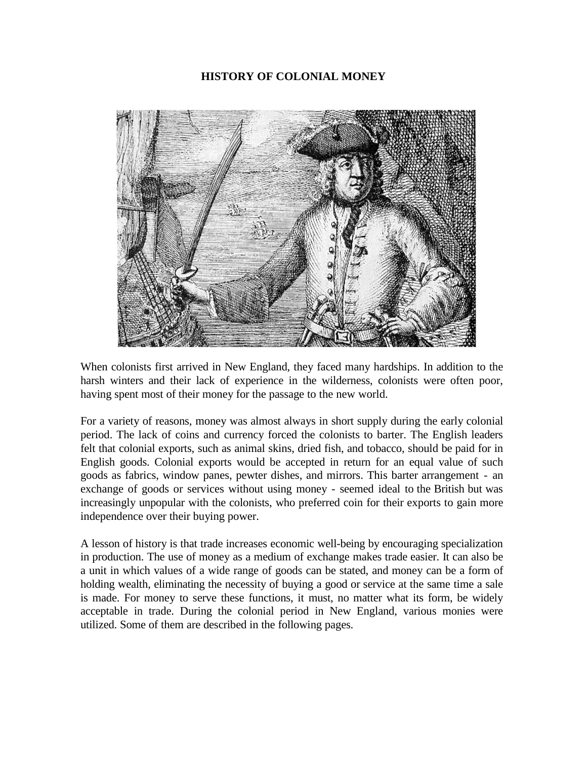# **HISTORY OF COLONIAL MONEY**



When colonists first arrived in New England, they faced many hardships. In addition to the harsh winters and their lack of experience in the wilderness, colonists were often poor, having spent most of their money for the passage to the new world.

For a variety of reasons, money was almost always in short supply during the early colonial period. The lack of coins and currency forced the colonists to barter. The English leaders felt that colonial exports, such as animal skins, dried fish, and tobacco, should be paid for in English goods. Colonial exports would be accepted in return for an equal value of such goods as fabrics, window panes, pewter dishes, and mirrors. This barter arrangement - an exchange of goods or services without using money - seemed ideal to the British but was increasingly unpopular with the colonists, who preferred coin for their exports to gain more independence over their buying power.

A lesson of history is that trade increases economic well-being by encouraging specialization in production. The use of money as a medium of exchange makes trade easier. It can also be a unit in which values of a wide range of goods can be stated, and money can be a form of holding wealth, eliminating the necessity of buying a good or service at the same time a sale is made. For money to serve these functions, it must, no matter what its form, be widely acceptable in trade. During the colonial period in New England, various monies were utilized. Some of them are described in the following pages.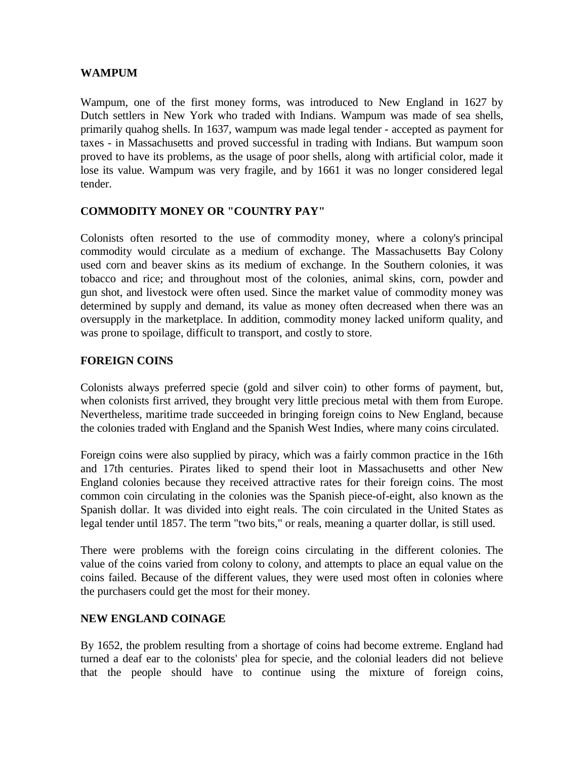### **WAMPUM**

Wampum, one of the first money forms, was introduced to New England in 1627 by Dutch settlers in New York who traded with Indians. Wampum was made of sea shells, primarily quahog shells. In 1637, wampum was made legal tender - accepted as payment for taxes - in Massachusetts and proved successful in trading with Indians. But wampum soon proved to have its problems, as the usage of poor shells, along with artificial color, made it lose its value. Wampum was very fragile, and by 1661 it was no longer considered legal tender.

# **COMMODITY MONEY OR "COUNTRY PAY"**

Colonists often resorted to the use of commodity money, where a colony's principal commodity would circulate as a medium of exchange. The Massachusetts Bay Colony used corn and beaver skins as its medium of exchange. In the Southern colonies, it was tobacco and rice; and throughout most of the colonies, animal skins, corn, powder and gun shot, and livestock were often used. Since the market value of commodity money was determined by supply and demand, its value as money often decreased when there was an oversupply in the marketplace. In addition, commodity money lacked uniform quality, and was prone to spoilage, difficult to transport, and costly to store.

### **FOREIGN COINS**

Colonists always preferred specie (gold and silver coin) to other forms of payment, but, when colonists first arrived, they brought very little precious metal with them from Europe. Nevertheless, maritime trade succeeded in bringing foreign coins to New England, because the colonies traded with England and the Spanish West Indies, where many coins circulated.

Foreign coins were also supplied by piracy, which was a fairly common practice in the 16th and 17th centuries. Pirates liked to spend their loot in Massachusetts and other New England colonies because they received attractive rates for their foreign coins. The most common coin circulating in the colonies was the Spanish piece-of-eight, also known as the Spanish dollar. It was divided into eight reals. The coin circulated in the United States as legal tender until 1857. The term "two bits," or reals, meaning a quarter dollar, is still used.

There were problems with the foreign coins circulating in the different colonies. The value of the coins varied from colony to colony, and attempts to place an equal value on the coins failed. Because of the different values, they were used most often in colonies where the purchasers could get the most for their money.

#### **NEW ENGLAND COINAGE**

By 1652, the problem resulting from a shortage of coins had become extreme. England had turned a deaf ear to the colonists' plea for specie, and the colonial leaders did not believe that the people should have to continue using the mixture of foreign coins,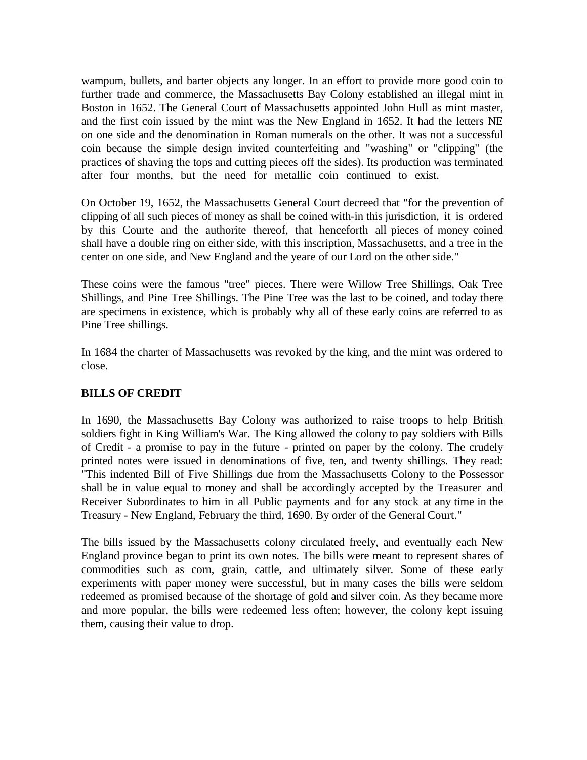wampum, bullets, and barter objects any longer. In an effort to provide more good coin to further trade and commerce, the Massachusetts Bay Colony established an illegal mint in Boston in 1652. The General Court of Massachusetts appointed John Hull as mint master, and the first coin issued by the mint was the New England in 1652. It had the letters NE on one side and the denomination in Roman numerals on the other. It was not a successful coin because the simple design invited counterfeiting and "washing" or "clipping" (the practices of shaving the tops and cutting pieces off the sides). Its production was terminated after four months, but the need for metallic coin continued to exist.

On October 19, 1652, the Massachusetts General Court decreed that "for the prevention of clipping of all such pieces of money as shall be coined with-in this jurisdiction, it is ordered by this Courte and the authorite thereof, that henceforth all pieces of money coined shall have a double ring on either side, with this inscription, Massachusetts, and a tree in the center on one side, and New England and the yeare of our Lord on the other side."

These coins were the famous "tree" pieces. There were Willow Tree Shillings, Oak Tree Shillings, and Pine Tree Shillings. The Pine Tree was the last to be coined, and today there are specimens in existence, which is probably why all of these early coins are referred to as Pine Tree shillings.

In 1684 the charter of Massachusetts was revoked by the king, and the mint was ordered to close.

# **BILLS OF CREDIT**

In 1690, the Massachusetts Bay Colony was authorized to raise troops to help British soldiers fight in King William's War. The King allowed the colony to pay soldiers with Bills of Credit - a promise to pay in the future - printed on paper by the colony. The crudely printed notes were issued in denominations of five, ten, and twenty shillings. They read: "This indented Bill of Five Shillings due from the Massachusetts Colony to the Possessor shall be in value equal to money and shall be accordingly accepted by the Treasurer and Receiver Subordinates to him in all Public payments and for any stock at any time in the Treasury - New England, February the third, 1690. By order of the General Court."

The bills issued by the Massachusetts colony circulated freely, and eventually each New England province began to print its own notes. The bills were meant to represent shares of commodities such as corn, grain, cattle, and ultimately silver. Some of these early experiments with paper money were successful, but in many cases the bills were seldom redeemed as promised because of the shortage of gold and silver coin. As they became more and more popular, the bills were redeemed less often; however, the colony kept issuing them, causing their value to drop.